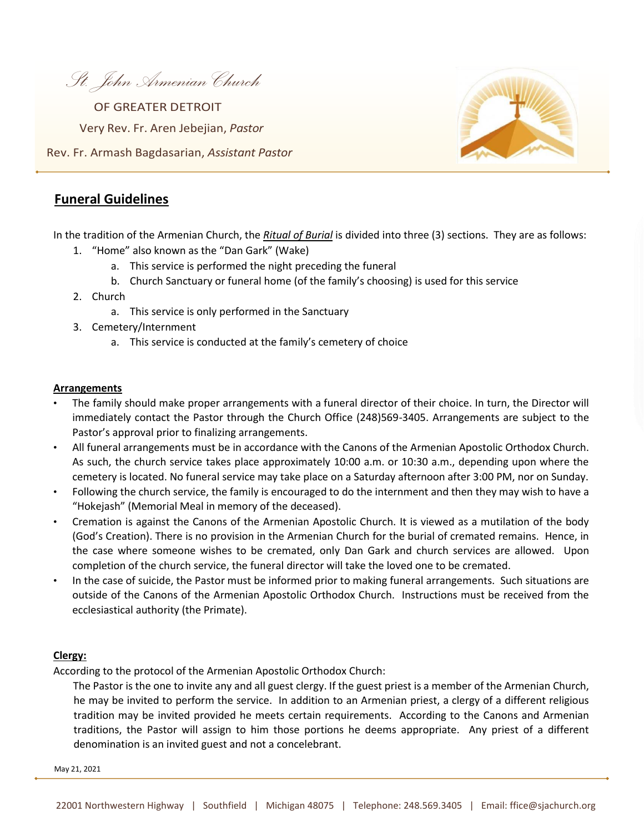*St. John Armenian Church* 

Rev. Fr. Armash Bagdasarian, *Assistant Pastor* Very Rev. Fr. Aren Jebejian, *Pastor* OF GREATER DETROIT



## **Funeral Guidelines**

In the tradition of the Armenian Church, the *Ritual of Burial* is divided into three (3) sections. They are as follows:

- 1. "Home" also known as the "Dan Gark" (Wake)
	- a. This service is performed the night preceding the funeral
	- b. Church Sanctuary or funeral home (of the family's choosing) is used for this service
- 2. Church
	- a. This service is only performed in the Sanctuary
- 3. Cemetery/Internment
	- a. This service is conducted at the family's cemetery of choice

#### **Arrangements**

- The family should make proper arrangements with a funeral director of their choice. In turn, the Director will immediately contact the Pastor through the Church Office (248)569-3405. Arrangements are subject to the Pastor's approval prior to finalizing arrangements.
- All funeral arrangements must be in accordance with the Canons of the Armenian Apostolic Orthodox Church. As such, the church service takes place approximately 10:00 a.m. or 10:30 a.m., depending upon where the cemetery is located. No funeral service may take place on a Saturday afternoon after 3:00 PM, nor on Sunday.
- Following the church service, the family is encouraged to do the internment and then they may wish to have a "Hokejash" (Memorial Meal in memory of the deceased).
- Cremation is against the Canons of the Armenian Apostolic Church. It is viewed as a mutilation of the body (God's Creation). There is no provision in the Armenian Church for the burial of cremated remains. Hence, in the case where someone wishes to be cremated, only Dan Gark and church services are allowed. Upon completion of the church service, the funeral director will take the loved one to be cremated.
- In the case of suicide, the Pastor must be informed prior to making funeral arrangements. Such situations are outside of the Canons of the Armenian Apostolic Orthodox Church. Instructions must be received from the ecclesiastical authority (the Primate).

#### **Clergy:**

According to the protocol of the Armenian Apostolic Orthodox Church:

The Pastor is the one to invite any and all guest clergy. If the guest priest is a member of the Armenian Church, he may be invited to perform the service. In addition to an Armenian priest, a clergy of a different religious tradition may be invited provided he meets certain requirements. According to the Canons and Armenian traditions, the Pastor will assign to him those portions he deems appropriate. Any priest of a different denomination is an invited guest and not a concelebrant.

May 21, 2021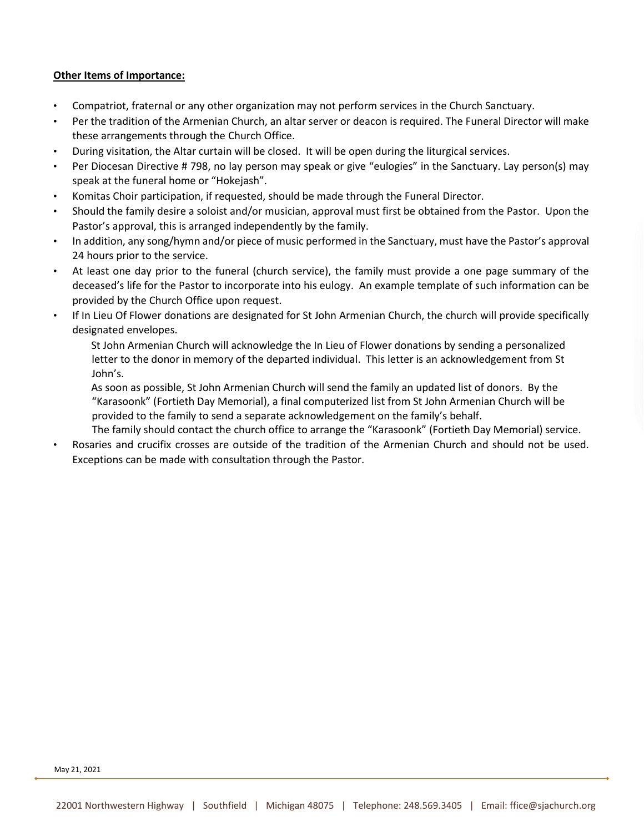### **Other Items of Importance:**

- Compatriot, fraternal or any other organization may not perform services in the Church Sanctuary.
- Per the tradition of the Armenian Church, an altar server or deacon is required. The Funeral Director will make these arrangements through the Church Office.
- During visitation, the Altar curtain will be closed. It will be open during the liturgical services.
- Per Diocesan Directive # 798, no lay person may speak or give "eulogies" in the Sanctuary. Lay person(s) may speak at the funeral home or "Hokejash".
- Komitas Choir participation, if requested, should be made through the Funeral Director.
- Should the family desire a soloist and/or musician, approval must first be obtained from the Pastor. Upon the Pastor's approval, this is arranged independently by the family.
- In addition, any song/hymn and/or piece of music performed in the Sanctuary, must have the Pastor's approval 24 hours prior to the service.
- At least one day prior to the funeral (church service), the family must provide a one page summary of the deceased's life for the Pastor to incorporate into his eulogy. An example template of such information can be provided by the Church Office upon request.
- If In Lieu Of Flower donations are designated for St John Armenian Church, the church will provide specifically designated envelopes.

St John Armenian Church will acknowledge the In Lieu of Flower donations by sending a personalized letter to the donor in memory of the departed individual. This letter is an acknowledgement from St John's.

As soon as possible, St John Armenian Church will send the family an updated list of donors. By the "Karasoonk" (Fortieth Day Memorial), a final computerized list from St John Armenian Church will be provided to the family to send a separate acknowledgement on the family's behalf.

The family should contact the church office to arrange the "Karasoonk" (Fortieth Day Memorial) service.

• Rosaries and crucifix crosses are outside of the tradition of the Armenian Church and should not be used. Exceptions can be made with consultation through the Pastor.